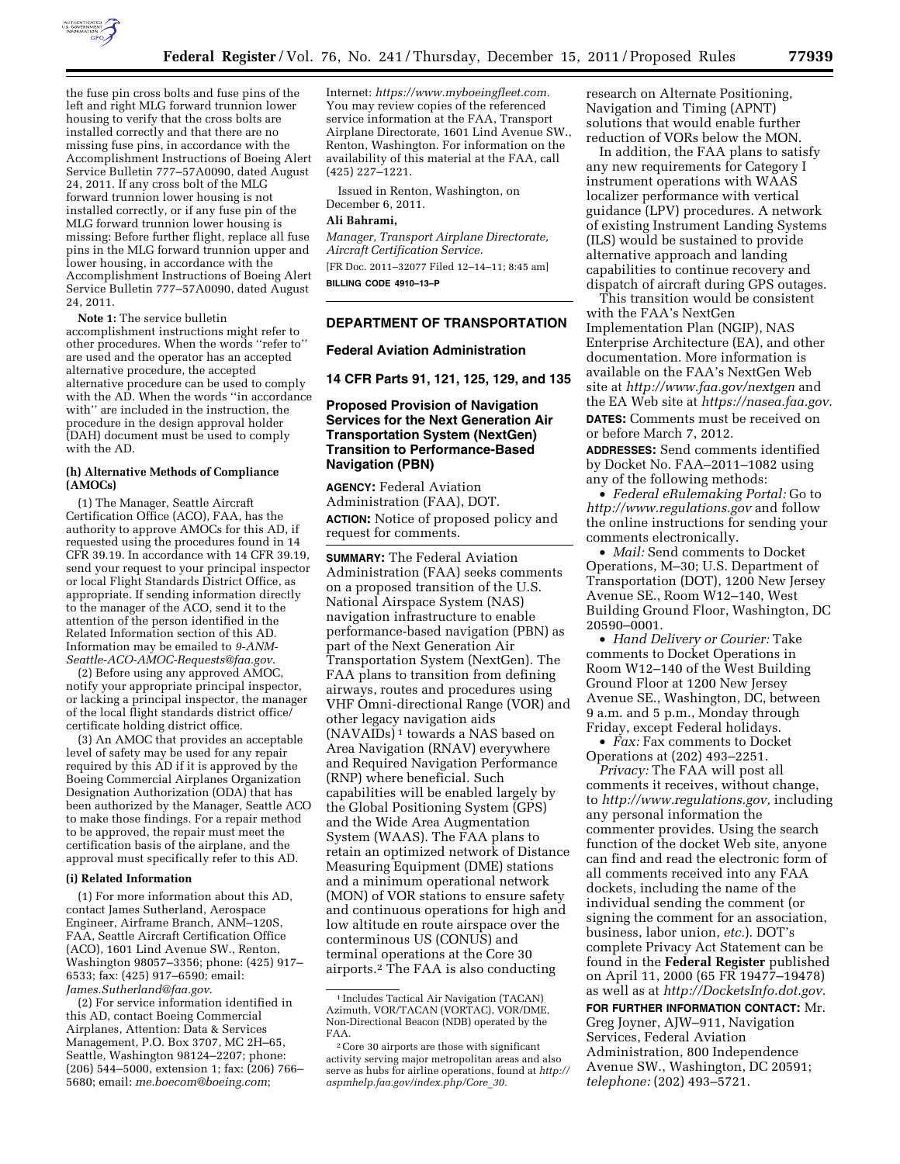

the fuse pin cross bolts and fuse pins of the left and right MLG forward trunnion lower housing to verify that the cross bolts are installed correctly and that there are no missing fuse pins, in accordance with the Accomplishment Instructions of Boeing Alert Service Bulletin 777–57A0090, dated August 24, 2011. If any cross bolt of the MLG

forward trunnion lower housing is not installed correctly, or if any fuse pin of the MLG forward trunnion lower housing is missing: Before further flight, replace all fuse pins in the MLG forward trunnion upper and lower housing, in accordance with the Accomplishment Instructions of Boeing Alert Service Bulletin 777–57A0090, dated August 24, 2011.

**Note 1:** The service bulletin accomplishment instructions might refer to other procedures. When the words ''refer to'' are used and the operator has an accepted alternative procedure, the accepted alternative procedure can be used to comply with the AD. When the words ''in accordance with'' are included in the instruction, the procedure in the design approval holder (DAH) document must be used to comply with the AD.

### **(h) Alternative Methods of Compliance (AMOCs)**

(1) The Manager, Seattle Aircraft Certification Office (ACO), FAA, has the authority to approve AMOCs for this AD, if requested using the procedures found in 14 CFR 39.19. In accordance with 14 CFR 39.19, send your request to your principal inspector or local Flight Standards District Office, as appropriate. If sending information directly to the manager of the ACO, send it to the attention of the person identified in the Related Information section of this AD. Information may be emailed to *[9-ANM-](mailto:9-ANM-Seattle-ACO-AMOC-Requests@faa.gov)[Seattle-ACO-AMOC-Requests@faa.gov](mailto:9-ANM-Seattle-ACO-AMOC-Requests@faa.gov)*.

(2) Before using any approved AMOC, notify your appropriate principal inspector, or lacking a principal inspector, the manager of the local flight standards district office/ certificate holding district office.

(3) An AMOC that provides an acceptable level of safety may be used for any repair required by this AD if it is approved by the Boeing Commercial Airplanes Organization Designation Authorization (ODA) that has been authorized by the Manager, Seattle ACO to make those findings. For a repair method to be approved, the repair must meet the certification basis of the airplane, and the approval must specifically refer to this AD.

#### **(i) Related Information**

(1) For more information about this AD, contact James Sutherland, Aerospace Engineer, Airframe Branch, ANM–120S, FAA, Seattle Aircraft Certification Office (ACO), 1601 Lind Avenue SW., Renton, Washington 98057–3356; phone: (425) 917– 6533; fax: (425) 917–6590; email: *[James.Sutherland@faa.gov](mailto:James.Sutherland@faa.gov)*.

(2) For service information identified in this AD, contact Boeing Commercial Airplanes, Attention: Data & Services Management, P.O. Box 3707, MC 2H–65, Seattle, Washington 98124–2207; phone: (206) 544–5000, extension 1; fax: (206) 766– 5680; email: *[me.boecom@boeing.com](mailto:me.boecom@boeing.com)*;

Internet: *[https://www.myboeingfleet.com.](https://www.myboeingfleet.com)*  You may review copies of the referenced service information at the FAA, Transport Airplane Directorate, 1601 Lind Avenue SW., Renton, Washington. For information on the availability of this material at the FAA, call (425) 227–1221.

Issued in Renton, Washington, on December 6, 2011.

#### **Ali Bahrami,**

*Manager, Transport Airplane Directorate, Aircraft Certification Service.* 

[FR Doc. 2011–32077 Filed 12–14–11; 8:45 am]

**BILLING CODE 4910–13–P** 

## **DEPARTMENT OF TRANSPORTATION**

## **Federal Aviation Administration**

**14 CFR Parts 91, 121, 125, 129, and 135** 

## **Proposed Provision of Navigation Services for the Next Generation Air Transportation System (NextGen) Transition to Performance-Based Navigation (PBN)**

**AGENCY:** Federal Aviation Administration (FAA), DOT. **ACTION:** Notice of proposed policy and request for comments.

**SUMMARY:** The Federal Aviation Administration (FAA) seeks comments on a proposed transition of the U.S. National Airspace System (NAS) navigation infrastructure to enable performance-based navigation (PBN) as part of the Next Generation Air Transportation System (NextGen). The FAA plans to transition from defining airways, routes and procedures using VHF Omni-directional Range (VOR) and other legacy navigation aids (NAVAIDs) 1 towards a NAS based on Area Navigation (RNAV) everywhere and Required Navigation Performance (RNP) where beneficial. Such capabilities will be enabled largely by the Global Positioning System (GPS) and the Wide Area Augmentation System (WAAS). The FAA plans to retain an optimized network of Distance Measuring Equipment (DME) stations and a minimum operational network (MON) of VOR stations to ensure safety and continuous operations for high and low altitude en route airspace over the conterminous US (CONUS) and terminal operations at the Core 30 airports.2 The FAA is also conducting

research on Alternate Positioning, Navigation and Timing (APNT) solutions that would enable further reduction of VORs below the MON.

In addition, the FAA plans to satisfy any new requirements for Category I instrument operations with WAAS localizer performance with vertical guidance (LPV) procedures. A network of existing Instrument Landing Systems (ILS) would be sustained to provide alternative approach and landing capabilities to continue recovery and dispatch of aircraft during GPS outages.

This transition would be consistent with the FAA's NextGen Implementation Plan (NGIP), NAS Enterprise Architecture (EA), and other documentation. More information is available on the FAA's NextGen Web site at *<http://www.faa.gov/nextgen>* and the EA Web site at *[https://nasea.faa.gov.](https://nasea.faa.gov)*  **DATES:** Comments must be received on

or before March 7, 2012.

**ADDRESSES:** Send comments identified by Docket No. FAA–2011–1082 using any of the following methods:

• *Federal eRulemaking Portal:* Go to *<http://www.regulations.gov>* and follow the online instructions for sending your comments electronically.

• *Mail:* Send comments to Docket Operations, M–30; U.S. Department of Transportation (DOT), 1200 New Jersey Avenue SE., Room W12–140, West Building Ground Floor, Washington, DC 20590–0001.

• *Hand Delivery or Courier:* Take comments to Docket Operations in Room W12–140 of the West Building Ground Floor at 1200 New Jersey Avenue SE., Washington, DC, between 9 a.m. and 5 p.m., Monday through Friday, except Federal holidays.

• *Fax:* Fax comments to Docket Operations at (202) 493–2251.

*Privacy:* The FAA will post all comments it receives, without change, to *[http://www.regulations.gov,](http://www.regulations.gov)* including any personal information the commenter provides. Using the search function of the docket Web site, anyone can find and read the electronic form of all comments received into any FAA dockets, including the name of the individual sending the comment (or signing the comment for an association, business, labor union, *etc.*). DOT's complete Privacy Act Statement can be found in the **Federal Register** published on April 11, 2000 (65 FR 19477–19478) as well as at *[http://DocketsInfo.dot.gov.](http://DocketsInfo.dot.gov)* 

**FOR FURTHER INFORMATION CONTACT:** Mr. Greg Joyner, AJW–911, Navigation Services, Federal Aviation Administration, 800 Independence Avenue SW., Washington, DC 20591; *telephone:* (202) 493–5721.

<sup>1</sup> Includes Tactical Air Navigation (TACAN) Azimuth, VOR/TACAN (VORTAC), VOR/DME, Non-Directional Beacon (NDB) operated by the FAA.

<sup>2</sup>Core 30 airports are those with significant activity serving major metropolitan areas and also serve as hubs for airline operations, found at *[http://](http://aspmhelp.faa.gov/index.php/Core_30)  [aspmhelp.faa.gov/index.php/Core](http://aspmhelp.faa.gov/index.php/Core_30)*\_*30.*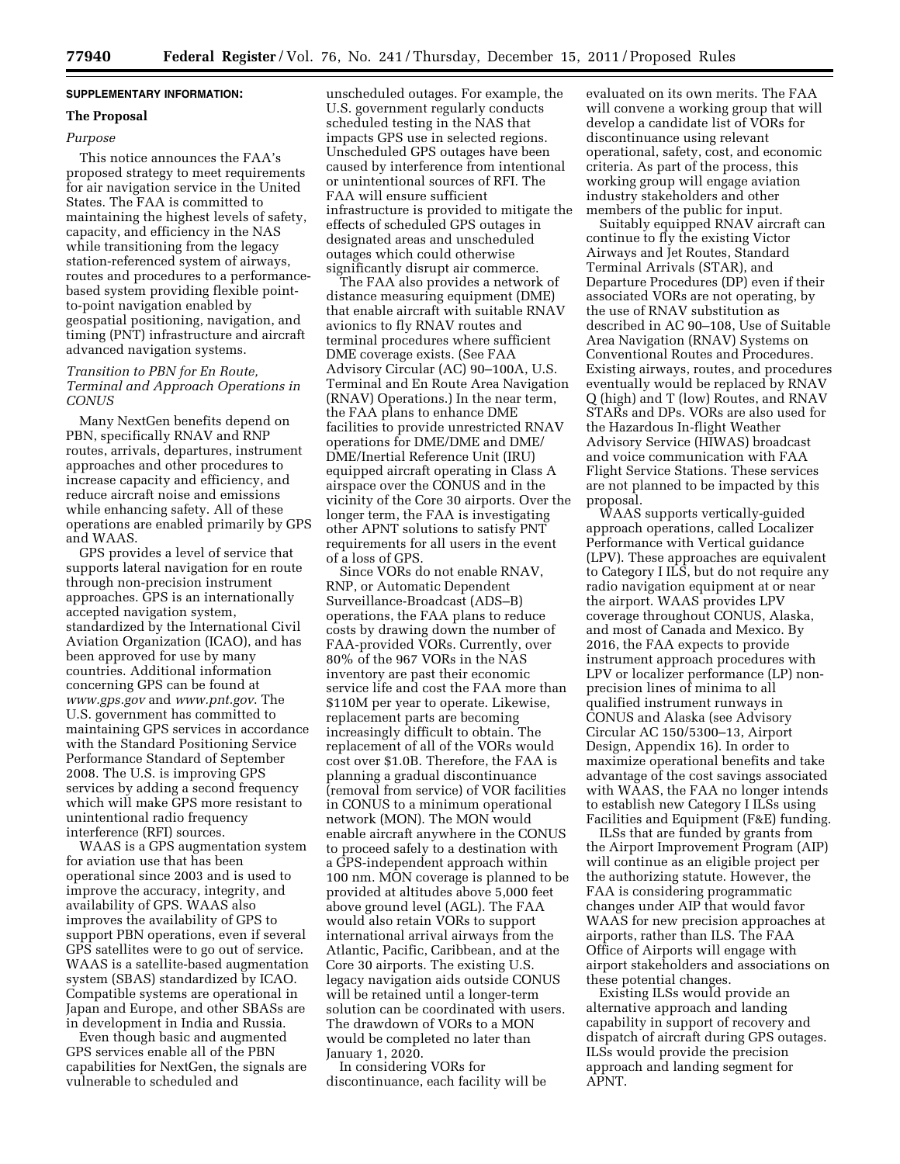## **SUPPLEMENTARY INFORMATION:**

# **The Proposal**

## *Purpose*

This notice announces the FAA's proposed strategy to meet requirements for air navigation service in the United States. The FAA is committed to maintaining the highest levels of safety, capacity, and efficiency in the NAS while transitioning from the legacy station-referenced system of airways, routes and procedures to a performancebased system providing flexible pointto-point navigation enabled by geospatial positioning, navigation, and timing (PNT) infrastructure and aircraft advanced navigation systems.

## *Transition to PBN for En Route, Terminal and Approach Operations in CONUS*

Many NextGen benefits depend on PBN, specifically RNAV and RNP routes, arrivals, departures, instrument approaches and other procedures to increase capacity and efficiency, and reduce aircraft noise and emissions while enhancing safety. All of these operations are enabled primarily by GPS and WAAS.

GPS provides a level of service that supports lateral navigation for en route through non-precision instrument approaches. GPS is an internationally accepted navigation system, standardized by the International Civil Aviation Organization (ICAO), and has been approved for use by many countries. Additional information concerning GPS can be found at *[www.gps.gov](http://www.gps.gov)* and *[www.pnt.gov](http://www.pnt.gov)*. The U.S. government has committed to maintaining GPS services in accordance with the Standard Positioning Service Performance Standard of September 2008. The U.S. is improving GPS services by adding a second frequency which will make GPS more resistant to unintentional radio frequency interference (RFI) sources.

WAAS is a GPS augmentation system for aviation use that has been operational since 2003 and is used to improve the accuracy, integrity, and availability of GPS. WAAS also improves the availability of GPS to support PBN operations, even if several GPS satellites were to go out of service. WAAS is a satellite-based augmentation system (SBAS) standardized by ICAO. Compatible systems are operational in Japan and Europe, and other SBASs are in development in India and Russia.

Even though basic and augmented GPS services enable all of the PBN capabilities for NextGen, the signals are vulnerable to scheduled and

unscheduled outages. For example, the U.S. government regularly conducts scheduled testing in the NAS that impacts GPS use in selected regions. Unscheduled GPS outages have been caused by interference from intentional or unintentional sources of RFI. The FAA will ensure sufficient infrastructure is provided to mitigate the effects of scheduled GPS outages in designated areas and unscheduled outages which could otherwise significantly disrupt air commerce.

The FAA also provides a network of distance measuring equipment (DME) that enable aircraft with suitable RNAV avionics to fly RNAV routes and terminal procedures where sufficient DME coverage exists. (See FAA Advisory Circular (AC) 90–100A, U.S. Terminal and En Route Area Navigation (RNAV) Operations.) In the near term, the FAA plans to enhance DME facilities to provide unrestricted RNAV operations for DME/DME and DME/ DME/Inertial Reference Unit (IRU) equipped aircraft operating in Class A airspace over the CONUS and in the vicinity of the Core 30 airports. Over the longer term, the FAA is investigating other APNT solutions to satisfy PNT requirements for all users in the event of a loss of GPS.

Since VORs do not enable RNAV, RNP, or Automatic Dependent Surveillance-Broadcast (ADS–B) operations, the FAA plans to reduce costs by drawing down the number of FAA-provided VORs. Currently, over 80% of the 967 VORs in the NAS inventory are past their economic service life and cost the FAA more than \$110M per year to operate. Likewise, replacement parts are becoming increasingly difficult to obtain. The replacement of all of the VORs would cost over \$1.0B. Therefore, the FAA is planning a gradual discontinuance (removal from service) of VOR facilities in CONUS to a minimum operational network (MON). The MON would enable aircraft anywhere in the CONUS to proceed safely to a destination with a GPS-independent approach within 100 nm. MON coverage is planned to be provided at altitudes above 5,000 feet above ground level (AGL). The FAA would also retain VORs to support international arrival airways from the Atlantic, Pacific, Caribbean, and at the Core 30 airports. The existing U.S. legacy navigation aids outside CONUS will be retained until a longer-term solution can be coordinated with users. The drawdown of VORs to a MON would be completed no later than January 1, 2020.

In considering VORs for discontinuance, each facility will be

evaluated on its own merits. The FAA will convene a working group that will develop a candidate list of VORs for discontinuance using relevant operational, safety, cost, and economic criteria. As part of the process, this working group will engage aviation industry stakeholders and other members of the public for input.

Suitably equipped RNAV aircraft can continue to fly the existing Victor Airways and Jet Routes, Standard Terminal Arrivals (STAR), and Departure Procedures (DP) even if their associated VORs are not operating, by the use of RNAV substitution as described in AC 90–108, Use of Suitable Area Navigation (RNAV) Systems on Conventional Routes and Procedures. Existing airways, routes, and procedures eventually would be replaced by RNAV Q (high) and T (low) Routes, and RNAV STARs and DPs. VORs are also used for the Hazardous In-flight Weather Advisory Service (HIWAS) broadcast and voice communication with FAA Flight Service Stations. These services are not planned to be impacted by this proposal.

WAAS supports vertically-guided approach operations, called Localizer Performance with Vertical guidance (LPV). These approaches are equivalent to Category I ILS, but do not require any radio navigation equipment at or near the airport. WAAS provides LPV coverage throughout CONUS, Alaska, and most of Canada and Mexico. By 2016, the FAA expects to provide instrument approach procedures with LPV or localizer performance (LP) nonprecision lines of minima to all qualified instrument runways in CONUS and Alaska (see Advisory Circular AC 150/5300–13, Airport Design, Appendix 16). In order to maximize operational benefits and take advantage of the cost savings associated with WAAS, the FAA no longer intends to establish new Category I ILSs using Facilities and Equipment (F&E) funding.

ILSs that are funded by grants from the Airport Improvement Program (AIP) will continue as an eligible project per the authorizing statute. However, the FAA is considering programmatic changes under AIP that would favor WAAS for new precision approaches at airports, rather than ILS. The FAA Office of Airports will engage with airport stakeholders and associations on these potential changes.

Existing ILSs would provide an alternative approach and landing capability in support of recovery and dispatch of aircraft during GPS outages. ILSs would provide the precision approach and landing segment for APNT.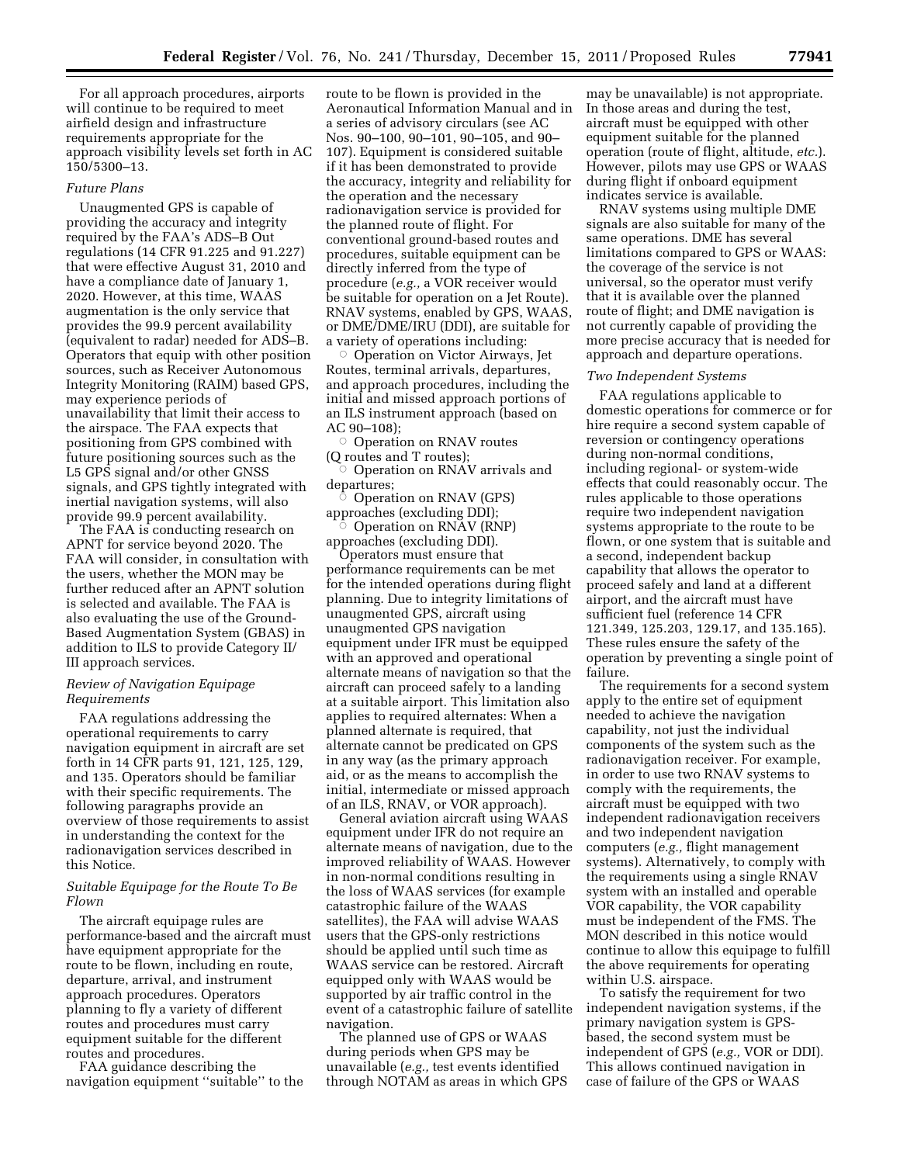For all approach procedures, airports will continue to be required to meet airfield design and infrastructure requirements appropriate for the approach visibility levels set forth in AC 150/5300–13.

#### *Future Plans*

Unaugmented GPS is capable of providing the accuracy and integrity required by the FAA's ADS–B Out regulations (14 CFR 91.225 and 91.227) that were effective August 31, 2010 and have a compliance date of January 1, 2020. However, at this time, WAAS augmentation is the only service that provides the 99.9 percent availability (equivalent to radar) needed for ADS–B. Operators that equip with other position sources, such as Receiver Autonomous Integrity Monitoring (RAIM) based GPS, may experience periods of unavailability that limit their access to the airspace. The FAA expects that positioning from GPS combined with future positioning sources such as the L5 GPS signal and/or other GNSS signals, and GPS tightly integrated with inertial navigation systems, will also provide 99.9 percent availability.

The FAA is conducting research on APNT for service beyond 2020. The FAA will consider, in consultation with the users, whether the MON may be further reduced after an APNT solution is selected and available. The FAA is also evaluating the use of the Ground-Based Augmentation System (GBAS) in addition to ILS to provide Category II/ III approach services.

## *Review of Navigation Equipage Requirements*

FAA regulations addressing the operational requirements to carry navigation equipment in aircraft are set forth in 14 CFR parts 91, 121, 125, 129, and 135. Operators should be familiar with their specific requirements. The following paragraphs provide an overview of those requirements to assist in understanding the context for the radionavigation services described in this Notice.

## *Suitable Equipage for the Route To Be Flown*

The aircraft equipage rules are performance-based and the aircraft must have equipment appropriate for the route to be flown, including en route, departure, arrival, and instrument approach procedures. Operators planning to fly a variety of different routes and procedures must carry equipment suitable for the different routes and procedures.

FAA guidance describing the navigation equipment ''suitable'' to the route to be flown is provided in the Aeronautical Information Manual and in a series of advisory circulars (see AC Nos. 90–100, 90–101, 90–105, and 90– 107). Equipment is considered suitable if it has been demonstrated to provide the accuracy, integrity and reliability for the operation and the necessary radionavigation service is provided for the planned route of flight. For conventional ground-based routes and procedures, suitable equipment can be directly inferred from the type of procedure (*e.g.,* a VOR receiver would be suitable for operation on a Jet Route). RNAV systems, enabled by GPS, WAAS, or DME/DME/IRU (DDI), are suitable for a variety of operations including:

□ Operation on Victor Airways, Jet Routes, terminal arrivals, departures, and approach procedures, including the initial and missed approach portions of an ILS instrument approach (based on AC 90–108);

 $\bar{\circ}$  Operation on RNAV routes (Q routes and T routes);

○ Operation on RNAV arrivals and departures;

 $\circ$  Operation on RNAV (GPS) approaches (excluding DDI); Æ

 Operation on RNAV (RNP) approaches (excluding DDI).

Operators must ensure that performance requirements can be met for the intended operations during flight planning. Due to integrity limitations of unaugmented GPS, aircraft using unaugmented GPS navigation equipment under IFR must be equipped with an approved and operational alternate means of navigation so that the aircraft can proceed safely to a landing at a suitable airport. This limitation also applies to required alternates: When a planned alternate is required, that alternate cannot be predicated on GPS in any way (as the primary approach aid, or as the means to accomplish the initial, intermediate or missed approach of an ILS, RNAV, or VOR approach).

General aviation aircraft using WAAS equipment under IFR do not require an alternate means of navigation, due to the improved reliability of WAAS. However in non-normal conditions resulting in the loss of WAAS services (for example catastrophic failure of the WAAS satellites), the FAA will advise WAAS users that the GPS-only restrictions should be applied until such time as WAAS service can be restored. Aircraft equipped only with WAAS would be supported by air traffic control in the event of a catastrophic failure of satellite navigation.

The planned use of GPS or WAAS during periods when GPS may be unavailable (*e.g.,* test events identified through NOTAM as areas in which GPS

may be unavailable) is not appropriate. In those areas and during the test, aircraft must be equipped with other equipment suitable for the planned operation (route of flight, altitude, *etc.*). However, pilots may use GPS or WAAS during flight if onboard equipment indicates service is available.

RNAV systems using multiple DME signals are also suitable for many of the same operations. DME has several limitations compared to GPS or WAAS: the coverage of the service is not universal, so the operator must verify that it is available over the planned route of flight; and DME navigation is not currently capable of providing the more precise accuracy that is needed for approach and departure operations.

## *Two Independent Systems*

FAA regulations applicable to domestic operations for commerce or for hire require a second system capable of reversion or contingency operations during non-normal conditions, including regional- or system-wide effects that could reasonably occur. The rules applicable to those operations require two independent navigation systems appropriate to the route to be flown, or one system that is suitable and a second, independent backup capability that allows the operator to proceed safely and land at a different airport, and the aircraft must have sufficient fuel (reference 14 CFR 121.349, 125.203, 129.17, and 135.165). These rules ensure the safety of the operation by preventing a single point of failure.

The requirements for a second system apply to the entire set of equipment needed to achieve the navigation capability, not just the individual components of the system such as the radionavigation receiver. For example, in order to use two RNAV systems to comply with the requirements, the aircraft must be equipped with two independent radionavigation receivers and two independent navigation computers (*e.g.,* flight management systems). Alternatively, to comply with the requirements using a single RNAV system with an installed and operable VOR capability, the VOR capability must be independent of the FMS. The MON described in this notice would continue to allow this equipage to fulfill the above requirements for operating within U.S. airspace.

To satisfy the requirement for two independent navigation systems, if the primary navigation system is GPSbased, the second system must be independent of GPS (*e.g.,* VOR or DDI). This allows continued navigation in case of failure of the GPS or WAAS